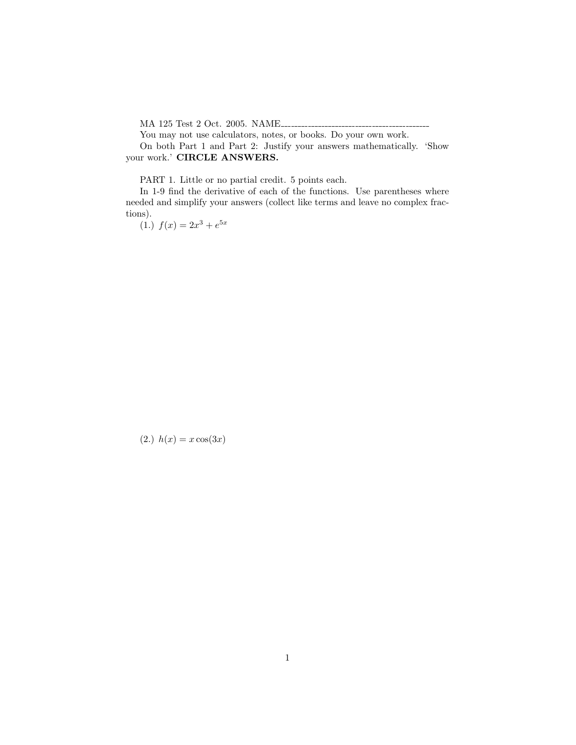MA 125 Test 2 Oct. 2005. NAME

You may not use calculators, notes, or books. Do your own work.

On both Part 1 and Part 2: Justify your answers mathematically. 'Show your work.' CIRCLE ANSWERS.

PART 1. Little or no partial credit. 5 points each.

In 1-9 find the derivative of each of the functions. Use parentheses where needed and simplify your answers (collect like terms and leave no complex fractions).

(1.)  $f(x) = 2x^3 + e^{5x}$ 

(2.)  $h(x) = x \cos(3x)$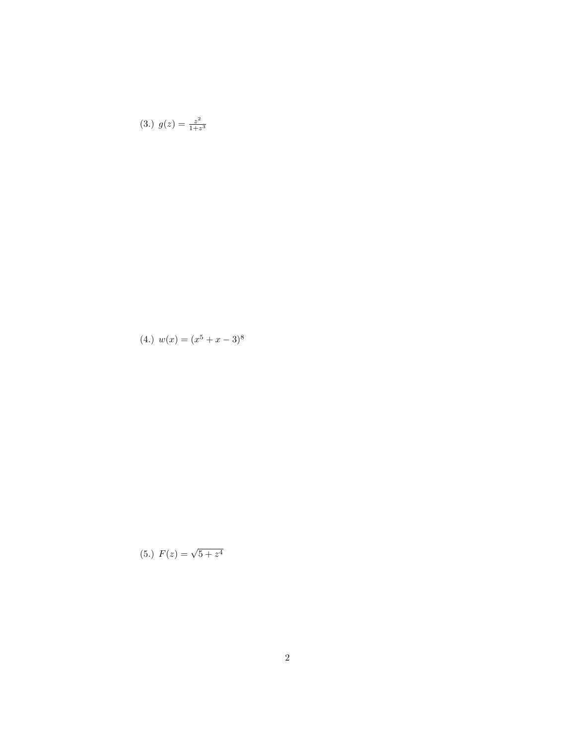$$
(3.)\ \ g(z) = \frac{z^2}{1+z^3}
$$

$$
(4.) \t w(x) = (x^5 + x - 3)^8
$$

$$
(5.)\ \ F(z) = \sqrt{5 + z^4}
$$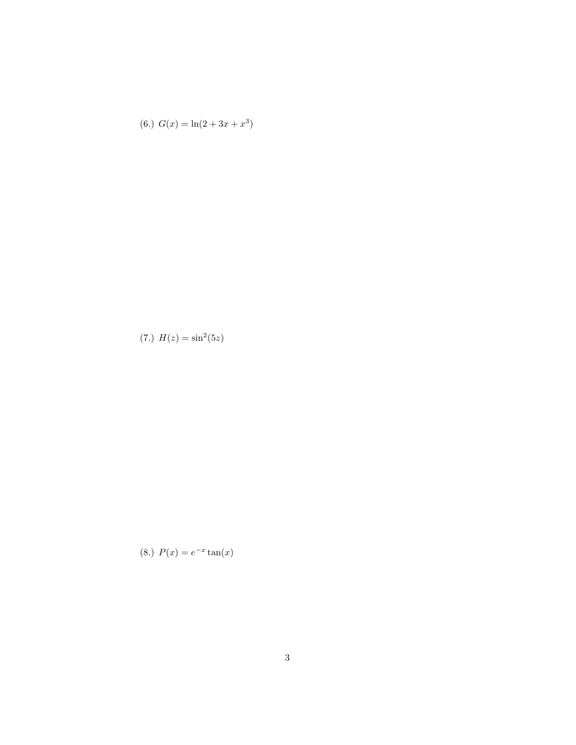$$
(6.)\ \ G(x) = \ln(2 + 3x + x^3)
$$

(7.) 
$$
H(z) = \sin^2(5z)
$$

(8.) 
$$
P(x) = e^{-x} \tan(x)
$$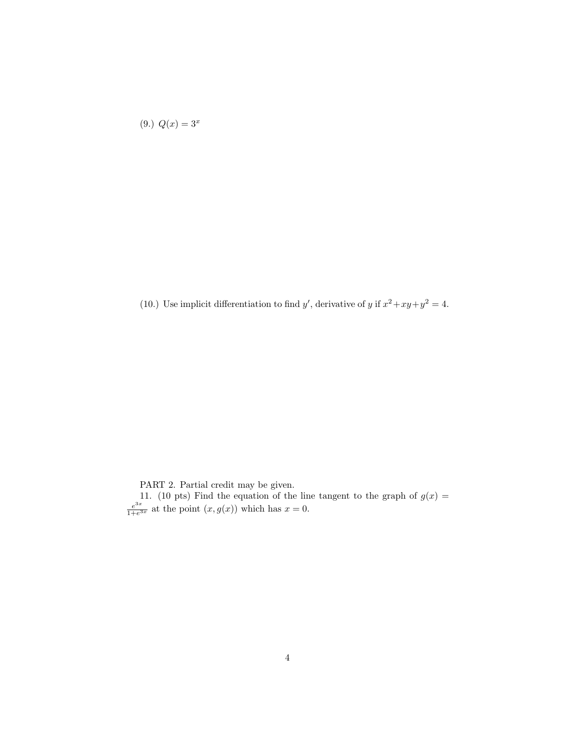$$
(9.)\ Q(x) = 3^x
$$

(10.) Use implicit differentiation to find y', derivative of y if  $x^2 + xy + y^2 = 4$ .

PART 2. Partial credit may be given.

11. (10 pts) Find the equation of the line tangent to the graph of  $g(x) =$  $e^{3x}$  $\frac{e^{sx}}{1+e^{3x}}$  at the point  $(x, g(x))$  which has  $x = 0$ .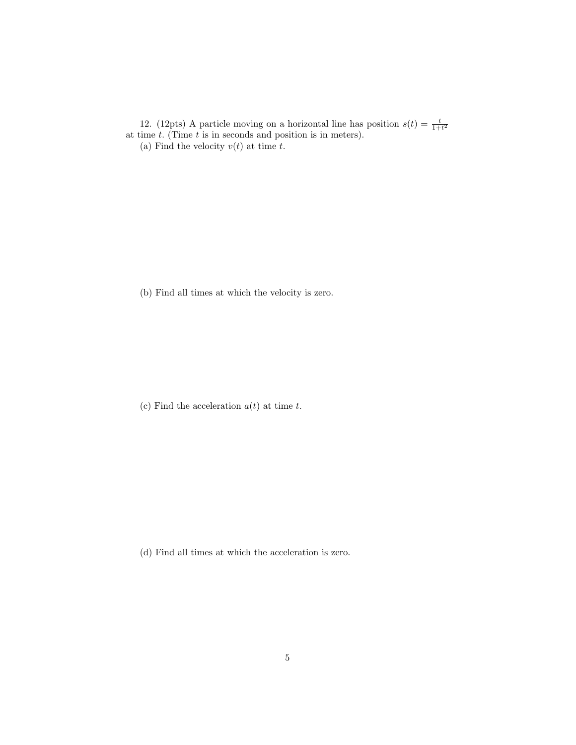12. (12pts) A particle moving on a horizontal line has position  $s(t) = \frac{t}{1+t^2}$  at time t. (Time t is in seconds and position is in meters). (a) Find the velocity  $v(t)$  at time t.

(b) Find all times at which the velocity is zero.

(c) Find the acceleration  $a(t)$  at time t.

(d) Find all times at which the acceleration is zero.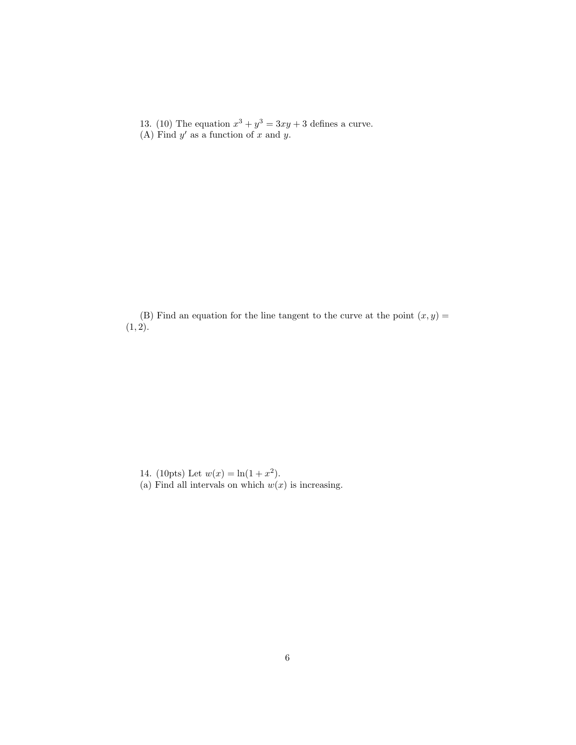13. (10) The equation  $x^3 + y^3 = 3xy + 3$  defines a curve. (A) Find  $y'$  as a function of x and y.

(B) Find an equation for the line tangent to the curve at the point  $(x, y) =$  $(1, 2).$ 

14. (10pts) Let  $w(x) = \ln(1 + x^2)$ . (a) Find all intervals on which  $w(x)$  is increasing.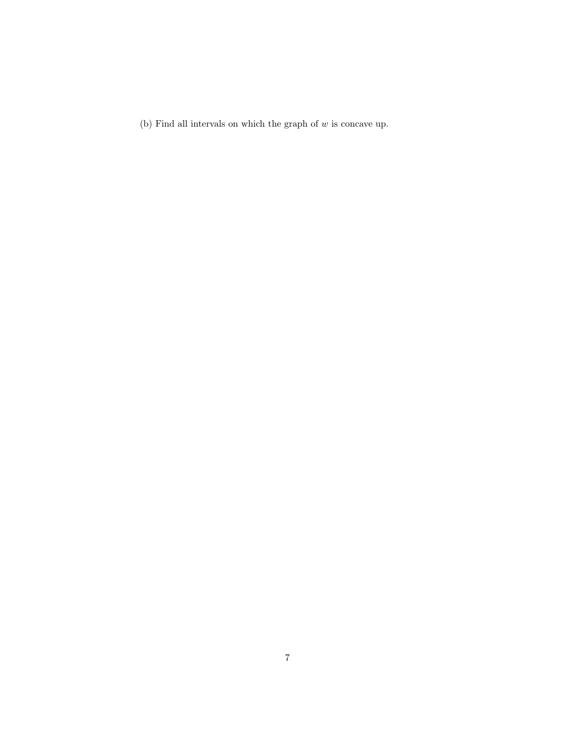(b) Find all intervals on which the graph of  $w$  is concave up.